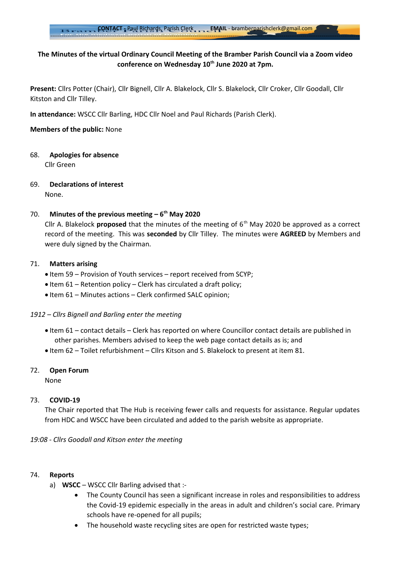## **The Minutes of the virtual Ordinary Council Meeting of the Bramber Parish Council via a Zoom video conference on Wednesday 10th June 2020 at 7pm.**

**Present:** Cllrs Potter (Chair), Cllr Bignell, Cllr A. Blakelock, Cllr S. Blakelock, Cllr Croker, Cllr Goodall, Cllr Kitston and Cllr Tilley.

**In attendance:** WSCC Cllr Barling, HDC Cllr Noel and Paul Richards (Parish Clerk).

**Members of the public:** None

68. **Apologies for absence**

Cllr Green

69. **Declarations of interest** None.

### 70. **Minutes of the previous meeting – 6th May 2020**

Cllr A. Blakelock **proposed** that the minutes of the meeting of 6th May 2020 be approved as a correct record of the meeting. This was **seconded** by Cllr Tilley. The minutes were **AGREED** by Members and were duly signed by the Chairman.

### 71. **Matters arising**

- Item 59 Provision of Youth services report received from SCYP;
- $\bullet$  Item 61 Retention policy Clerk has circulated a draft policy;
- Item 61 Minutes actions Clerk confirmed SALC opinion;

### *1912 – Cllrs Bignell and Barling enter the meeting*

- Item 61 contact details Clerk has reported on where Councillor contact details are published in other parishes. Members advised to keep the web page contact details as is; and
- Item 62 Toilet refurbishment Cllrs Kitson and S. Blakelock to present at item 81.

### 72. **Open Forum**

None

### 73. **COVID-19**

The Chair reported that The Hub is receiving fewer calls and requests for assistance. Regular updates from HDC and WSCC have been circulated and added to the parish website as appropriate.

*19:08 - Cllrs Goodall and Kitson enter the meeting*

### 74. **Reports**

- a) **WSCC** WSCC Cllr Barling advised that :-
	- The County Council has seen a significant increase in roles and responsibilities to address the Covid-19 epidemic especially in the areas in adult and children's social care. Primary schools have re-opened for all pupils;
	- The household waste recycling sites are open for restricted waste types;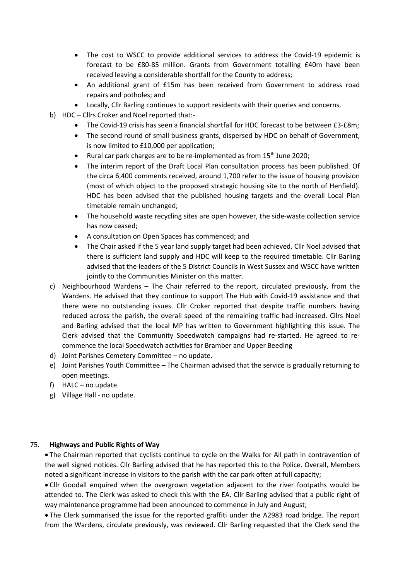- The cost to WSCC to provide additional services to address the Covid-19 epidemic is forecast to be £80-85 million. Grants from Government totalling £40m have been received leaving a considerable shortfall for the County to address;
- An additional grant of £15m has been received from Government to address road repairs and potholes; and
- Locally, Cllr Barling continues to support residents with their queries and concerns.
- b) HDC Cllrs Croker and Noel reported that:-
	- The Covid-19 crisis has seen a financial shortfall for HDC forecast to be between £3-£8m;
	- The second round of small business grants, dispersed by HDC on behalf of Government, is now limited to £10,000 per application;
	- Rural car park charges are to be re-implemented as from 15<sup>th</sup> June 2020;
	- The interim report of the Draft Local Plan consultation process has been published. Of the circa 6,400 comments received, around 1,700 refer to the issue of housing provision (most of which object to the proposed strategic housing site to the north of Henfield). HDC has been advised that the published housing targets and the overall Local Plan timetable remain unchanged;
	- The household waste recycling sites are open however, the side-waste collection service has now ceased;
	- A consultation on Open Spaces has commenced; and
	- The Chair asked if the 5 year land supply target had been achieved. Cllr Noel advised that there is sufficient land supply and HDC will keep to the required timetable. Cllr Barling advised that the leaders of the 5 District Councils in West Sussex and WSCC have written jointly to the Communities Minister on this matter.
- c) Neighbourhood Wardens The Chair referred to the report, circulated previously, from the Wardens. He advised that they continue to support The Hub with Covid-19 assistance and that there were no outstanding issues. Cllr Croker reported that despite traffic numbers having reduced across the parish, the overall speed of the remaining traffic had increased. Cllrs Noel and Barling advised that the local MP has written to Government highlighting this issue. The Clerk advised that the Community Speedwatch campaigns had re-started. He agreed to recommence the local Speedwatch activities for Bramber and Upper Beeding
- d) Joint Parishes Cemetery Committee no update.
- e) Joint Parishes Youth Committee The Chairman advised that the service is gradually returning to open meetings.
- f) HALC no update.
- g) Village Hall no update.

### 75. **Highways and Public Rights of Way**

 The Chairman reported that cyclists continue to cycle on the Walks for All path in contravention of the well signed notices. Cllr Barling advised that he has reported this to the Police. Overall, Members noted a significant increase in visitors to the parish with the car park often at full capacity;

 Cllr Goodall enquired when the overgrown vegetation adjacent to the river footpaths would be attended to. The Clerk was asked to check this with the EA. Cllr Barling advised that a public right of way maintenance programme had been announced to commence in July and August;

 The Clerk summarised the issue for the reported graffiti under the A2983 road bridge. The report from the Wardens, circulate previously, was reviewed. Cllr Barling requested that the Clerk send the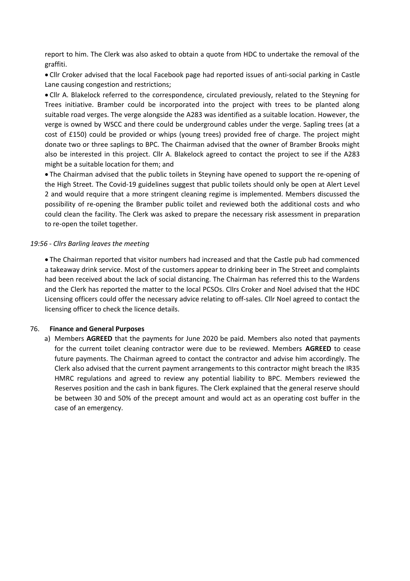report to him. The Clerk was also asked to obtain a quote from HDC to undertake the removal of the graffiti.

 Cllr Croker advised that the local Facebook page had reported issues of anti-social parking in Castle Lane causing congestion and restrictions;

 Cllr A. Blakelock referred to the correspondence, circulated previously, related to the Steyning for Trees initiative. Bramber could be incorporated into the project with trees to be planted along suitable road verges. The verge alongside the A283 was identified as a suitable location. However, the verge is owned by WSCC and there could be underground cables under the verge. Sapling trees (at a cost of £150) could be provided or whips (young trees) provided free of charge. The project might donate two or three saplings to BPC. The Chairman advised that the owner of Bramber Brooks might also be interested in this project. Cllr A. Blakelock agreed to contact the project to see if the A283 might be a suitable location for them; and

 The Chairman advised that the public toilets in Steyning have opened to support the re-opening of the High Street. The Covid-19 guidelines suggest that public toilets should only be open at Alert Level 2 and would require that a more stringent cleaning regime is implemented. Members discussed the possibility of re-opening the Bramber public toilet and reviewed both the additional costs and who could clean the facility. The Clerk was asked to prepare the necessary risk assessment in preparation to re-open the toilet together.

### *19:56 - Cllrs Barling leaves the meeting*

 The Chairman reported that visitor numbers had increased and that the Castle pub had commenced a takeaway drink service. Most of the customers appear to drinking beer in The Street and complaints had been received about the lack of social distancing. The Chairman has referred this to the Wardens and the Clerk has reported the matter to the local PCSOs. Cllrs Croker and Noel advised that the HDC Licensing officers could offer the necessary advice relating to off-sales. Cllr Noel agreed to contact the licensing officer to check the licence details.

#### 76. **Finance and General Purposes**

a) Members **AGREED** that the payments for June 2020 be paid. Members also noted that payments for the current toilet cleaning contractor were due to be reviewed. Members **AGREED** to cease future payments. The Chairman agreed to contact the contractor and advise him accordingly. The Clerk also advised that the current payment arrangements to this contractor might breach the IR35 HMRC regulations and agreed to review any potential liability to BPC. Members reviewed the Reserves position and the cash in bank figures. The Clerk explained that the general reserve should be between 30 and 50% of the precept amount and would act as an operating cost buffer in the case of an emergency.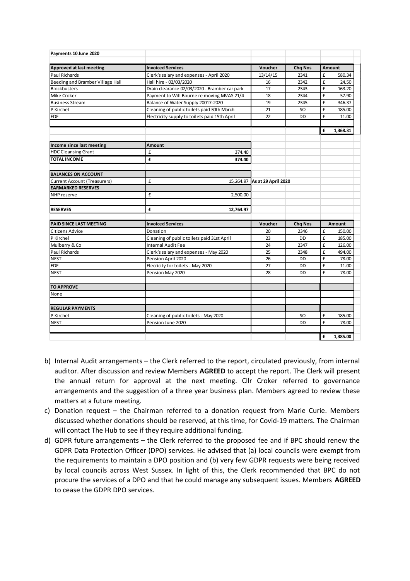| Payments 10 June 2020               |                                               |                               |                |               |          |
|-------------------------------------|-----------------------------------------------|-------------------------------|----------------|---------------|----------|
| <b>Approved at last meeting</b>     | <b>Invoiced Services</b>                      | Voucher                       | <b>Chq Nos</b> | <b>Amount</b> |          |
| Paul Richards                       | Clerk's salary and expenses - April 2020      | 13/14/15                      | 2341           | £             | 580.34   |
| Beeding and Bramber Village Hall    | Hall hire - 02/03/2020                        | 16                            | 2342           | £             | 24.50    |
| <b>Blockbusters</b>                 | Drain clearance 02/03/2020 - Bramber car park | 17                            | 2343           | £             | 163.20   |
| Mike Croker                         | Payment to Will Bourne re moving MVAS 21/4    | 18                            | 2344           | £             | 57.90    |
| <b>Business Stream</b>              | Balance of Water Supply 20017-2020            | 19                            | 2345           | £             | 346.37   |
| P Kirchel                           | Cleaning of public toilets paid 30th March    | 21                            | <b>SO</b>      | £             | 185.00   |
| <b>EDF</b>                          | Electricity supply to toilets paid 15th April | 22                            | <b>DD</b>      | £             | 11.00    |
|                                     |                                               |                               |                |               |          |
|                                     |                                               |                               |                | £             | 1,368.31 |
| Income since last meeting           | <b>Amount</b>                                 |                               |                |               |          |
| <b>HDC Cleansing Grant</b>          | £<br>374.40                                   |                               |                |               |          |
| <b>TOTAL INCOME</b>                 | £<br>374.40                                   |                               |                |               |          |
| <b>BALANCES ON ACCOUNT</b>          |                                               |                               |                |               |          |
| <b>Current Account (Treasurers)</b> | £                                             | 15,264.97 As at 29 April 2020 |                |               |          |
| <b>EARMARKED RESERVES</b>           |                                               |                               |                |               |          |
| NHP reserve                         | £<br>2,500.00                                 |                               |                |               |          |
|                                     |                                               |                               |                |               |          |
| <b>RESERVES</b>                     | £<br>12,764.97                                |                               |                |               |          |
| PAID SINCE LAST MEETING             | <b>Invoiced Services</b>                      | Voucher                       | <b>Chq Nos</b> | Amount        |          |
| <b>Citizens Advice</b>              | Donation                                      | 20                            | 2346           | £             | 150.00   |
| P Kirchel                           | Cleaning of public toilets paid 31st April    | 23                            | DD             | £             | 185.00   |
| Mulberry & Co                       | <b>Internal Audit Fee</b>                     | 24                            | 2347           | £             | 126.00   |
| Paul Richards                       | Clerk's salary and expenses - May 2020        | 25                            | 2348           | £             | 494.00   |
| <b>NEST</b>                         | Pension April 2020                            | 26                            | <b>DD</b>      | £             | 78.00    |
| <b>EDF</b>                          | Elecricity for toilets - May 2020             | 27                            | <b>DD</b>      | £             | 11.00    |
| <b>NEST</b>                         | Pension May 2020                              | 28                            | DD             | £             | 78.00    |
| <b>TO APPROVE</b>                   |                                               |                               |                |               |          |
| None                                |                                               |                               |                |               |          |
| <b>REGULAR PAYMENTS</b>             |                                               |                               |                |               |          |
| P Kirchel                           | Cleaning of public toilets - May 2020         |                               | <b>SO</b>      | £             | 185.00   |
| <b>NEST</b>                         | Pension June 2020                             |                               | <b>DD</b>      | £             | 78.00    |
|                                     |                                               |                               |                |               |          |
|                                     |                                               |                               |                | £             | 1,385.00 |

- b) Internal Audit arrangements the Clerk referred to the report, circulated previously, from internal auditor. After discussion and review Members **AGREED** to accept the report. The Clerk will present the annual return for approval at the next meeting. Cllr Croker referred to governance arrangements and the suggestion of a three year business plan. Members agreed to review these matters at a future meeting.
- c) Donation request the Chairman referred to a donation request from Marie Curie. Members discussed whether donations should be reserved, at this time, for Covid-19 matters. The Chairman will contact The Hub to see if they require additional funding.
- d) GDPR future arrangements the Clerk referred to the proposed fee and if BPC should renew the GDPR Data Protection Officer (DPO) services. He advised that (a) local councils were exempt from the requirements to maintain a DPO position and (b) very few GDPR requests were being received by local councils across West Sussex. In light of this, the Clerk recommended that BPC do not procure the services of a DPO and that he could manage any subsequent issues. Members **AGREED** to cease the GDPR DPO services.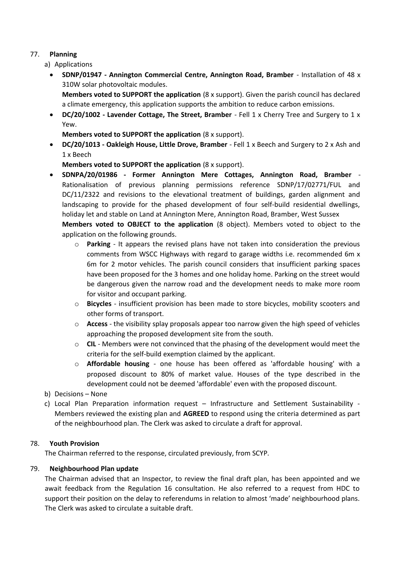# 77. **Planning**

- a) Applications
	- **SDNP/01947 Annington Commercial Centre, Annington Road, Bramber** Installation of 48 x 310W solar photovoltaic modules.

**Members voted to SUPPORT the application** (8 x support). Given the parish council has declared a climate emergency, this application supports the ambition to reduce carbon emissions.

 **DC/20/1002 - Lavender Cottage, The Street, Bramber** - Fell 1 x Cherry Tree and Surgery to 1 x Yew.

**Members voted to SUPPORT the application** (8 x support).

 **DC/20/1013 - Oakleigh House, Little Drove, Bramber** - Fell 1 x Beech and Surgery to 2 x Ash and 1 x Beech

**Members voted to SUPPORT the application** (8 x support).

 **SDNPA/20/01986 - Former Annington Mere Cottages, Annington Road, Bramber** - Rationalisation of previous planning permissions reference SDNP/17/02771/FUL and DC/11/2322 and revisions to the elevational treatment of buildings, garden alignment and landscaping to provide for the phased development of four self-build residential dwellings, holiday let and stable on Land at Annington Mere, Annington Road, Bramber, West Sussex **Members voted to OBJECT to the application** (8 object). Members voted to object to the

application on the following grounds.

- o **Parking** It appears the revised plans have not taken into consideration the previous comments from WSCC Highways with regard to garage widths i.e. recommended 6m x 6m for 2 motor vehicles. The parish council considers that insufficient parking spaces have been proposed for the 3 homes and one holiday home. Parking on the street would be dangerous given the narrow road and the development needs to make more room for visitor and occupant parking.
- o **Bicycles** insufficient provision has been made to store bicycles, mobility scooters and other forms of transport.
- o **Access** the visibility splay proposals appear too narrow given the high speed of vehicles approaching the proposed development site from the south.
- o **CIL** Members were not convinced that the phasing of the development would meet the criteria for the self-build exemption claimed by the applicant.
- o **Affordable housing** one house has been offered as 'affordable housing' with a proposed discount to 80% of market value. Houses of the type described in the development could not be deemed 'affordable' even with the proposed discount.
- b) Decisions None
- c) Local Plan Preparation information request Infrastructure and Settlement Sustainability Members reviewed the existing plan and **AGREED** to respond using the criteria determined as part of the neighbourhood plan. The Clerk was asked to circulate a draft for approval.

# 78. **Youth Provision**

The Chairman referred to the response, circulated previously, from SCYP.

# 79. **Neighbourhood Plan update**

The Chairman advised that an Inspector, to review the final draft plan, has been appointed and we await feedback from the Regulation 16 consultation. He also referred to a request from HDC to support their position on the delay to referendums in relation to almost 'made' neighbourhood plans. The Clerk was asked to circulate a suitable draft.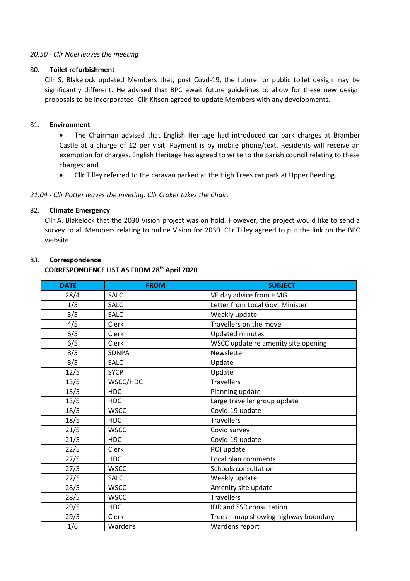### *20:50 - Cllr Noel leaves the meeting*

#### 80. **Toilet refurbishment**

Cllr S. Blakelock updated Members that, post Covd-19, the future for public toilet design may be significantly different. He advised that BPC await future guidelines to allow for these new design proposals to be incorporated. Cllr Kitson agreed to update Members with any developments.

### 81. **Environment**

 The Chairman advised that English Heritage had introduced car park charges at Bramber Castle at a charge of £2 per visit. Payment is by mobile phone/text. Residents will receive an exemption for charges. English Heritage has agreed to write to the parish council relating to these charges; and

Cllr Tilley referred to the caravan parked at the High Trees car park at Upper Beeding.

### *21:04 - Cllr Potter leaves the meeting. Cllr Croker takes the Chair.*

### 82. **Climate Emergency**

Cllr A. Blakelock that the 2030 Vision project was on hold. However, the project would like to send a survey to all Members relating to online Vision for 2030. Cllr Tilley agreed to put the link on the BPC website.

## 83. **Correspondence**

#### **CORRESPONDENCE LIST AS FROM 28th April 2020**

| <b>DATE</b> | <b>FROM</b>  | <b>SUBJECT</b>                       |
|-------------|--------------|--------------------------------------|
| 28/4        | <b>SALC</b>  | VE day advice from HMG               |
| 1/5         | <b>SALC</b>  | Letter from Local Govt Minister      |
| 5/5         | <b>SALC</b>  | Weekly update                        |
| 4/5         | <b>Clerk</b> | Travellers on the move               |
| 6/5         | Clerk        | <b>Updated minutes</b>               |
| 6/5         | <b>Clerk</b> | WSCC update re amenity site opening  |
| 8/5         | <b>SDNPA</b> | Newsletter                           |
| 8/5         | <b>SALC</b>  | Update                               |
| 12/5        | <b>SYCP</b>  | Update                               |
| 13/5        | WSCC/HDC     | <b>Travellers</b>                    |
| 13/5        | <b>HDC</b>   | Planning update                      |
| 13/5        | <b>HDC</b>   | Large traveller group update         |
| 18/5        | <b>WSCC</b>  | Covid-19 update                      |
| 18/5        | <b>HDC</b>   | <b>Travellers</b>                    |
| 21/5        | <b>WSCC</b>  | Covid survey                         |
| 21/5        | <b>HDC</b>   | Covid-19 update                      |
| 22/5        | Clerk        | ROI update                           |
| 27/5        | <b>HDC</b>   | Local plan comments                  |
| 27/5        | <b>WSCC</b>  | Schools consultation                 |
| 27/5        | <b>SALC</b>  | Weekly update                        |
| 28/5        | <b>WSCC</b>  | Amenity site update                  |
| 28/5        | <b>WSCC</b>  | <b>Travellers</b>                    |
| 29/5        | <b>HDC</b>   | IDR and SSR consultation             |
| 29/5        | <b>Clerk</b> | Trees - map showing highway boundary |
| 1/6         | Wardens      | Wardens report                       |